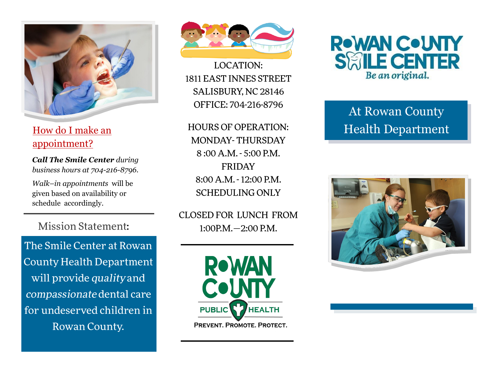

How do I make an appointment?

*Call The Smile Center during business hours at 704 -216 -8796.* 

*Walk –in appointments* will be given based on availability or schedule accordingly.

**Mission Statement:** 

The Smile Center at Rowan **County Health Department** will provide quality and compassionate dental care for undeserved children in Rowan County.



**LOCATION:** 1811 EAST INNES STREET SALISBURY, NC 28146 OFFICE: 704-216-8796

**HOURS OF OPERATION: MONDAY-THURSDAY** 8:00 A.M. - 5:00 P.M. **FRIDAY** 8:00 A.M. - 12:00 P.M. **SCHEDULING ONLY** 

CLOSED FOR LUNCH FROM  $1:00P.M. - 2:00 P.M.$ 





# At Rowan County Health Department